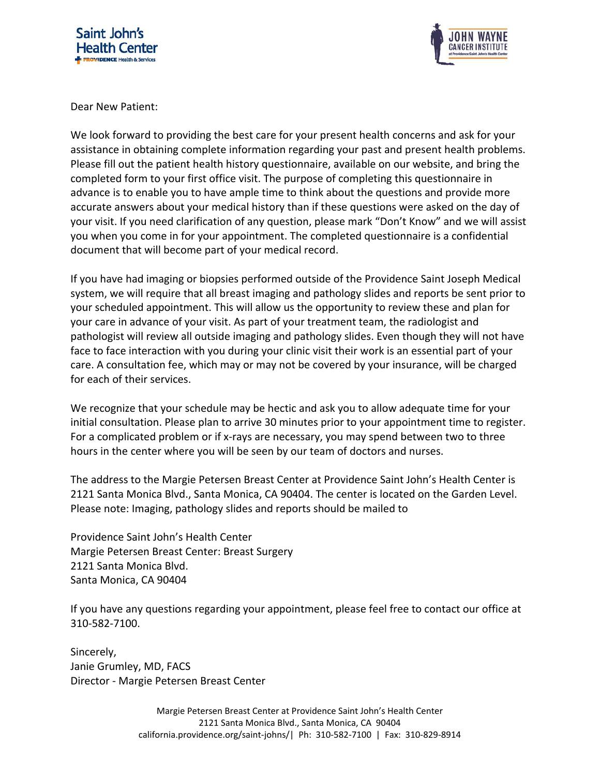



Dear New Patient:

We look forward to providing the best care for your present health concerns and ask for your assistance in obtaining complete information regarding your past and present health problems. Please fill out the patient health history questionnaire, available on our website, and bring the completed form to your first office visit. The purpose of completing this questionnaire in advance is to enable you to have ample time to think about the questions and provide more accurate answers about your medical history than if these questions were asked on the day of your visit. If you need clarification of any question, please mark "Don't Know" and we will assist you when you come in for your appointment. The completed questionnaire is a confidential document that will become part of your medical record.

If you have had imaging or biopsies performed outside of the Providence Saint Joseph Medical system, we will require that all breast imaging and pathology slides and reports be sent prior to your scheduled appointment. This will allow us the opportunity to review these and plan for your care in advance of your visit. As part of your treatment team, the radiologist and pathologist will review all outside imaging and pathology slides. Even though they will not have face to face interaction with you during your clinic visit their work is an essential part of your care. A consultation fee, which may or may not be covered by your insurance, will be charged for each of their services.

We recognize that your schedule may be hectic and ask you to allow adequate time for your initial consultation. Please plan to arrive 30 minutes prior to your appointment time to register. For a complicated problem or if x‐rays are necessary, you may spend between two to three hours in the center where you will be seen by our team of doctors and nurses.

The address to the Margie Petersen Breast Center at Providence Saint John's Health Center is 2121 Santa Monica Blvd., Santa Monica, CA 90404. The center is located on the Garden Level. Please note: Imaging, pathology slides and reports should be mailed to

Providence Saint John's Health Center Margie Petersen Breast Center: Breast Surgery 2121 Santa Monica Blvd. Santa Monica, CA 90404

If you have any questions regarding your appointment, please feel free to contact our office at 310‐582‐7100.

Sincerely, Janie Grumley, MD, FACS Director ‐ Margie Petersen Breast Center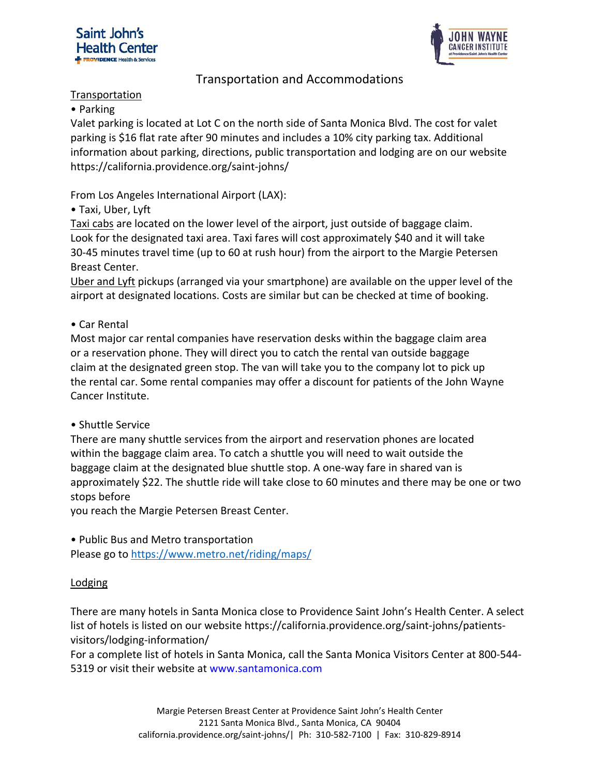



## Transportation and Accommodations

#### Transportation

#### • Parking

Valet parking is located at Lot C on the north side of Santa Monica Blvd. The cost for valet parking is \$16 flat rate after 90 minutes and includes a 10% city parking tax. Additional information about parking, directions, public transportation and lodging are on our website https://california.providence.org/saint‐johns/

From Los Angeles International Airport (LAX):

• Taxi, Uber, Lyft

Taxi cabs are located on the lower level of the airport, just outside of baggage claim. Look for the designated taxi area. Taxi fares will cost approximately \$40 and it will take 30‐45 minutes travel time (up to 60 at rush hour) from the airport to the Margie Petersen Breast Center.

Uber and Lyft pickups (arranged via your smartphone) are available on the upper level of the airport at designated locations. Costs are similar but can be checked at time of booking.

## • Car Rental

Most major car rental companies have reservation desks within the baggage claim area or a reservation phone. They will direct you to catch the rental van outside baggage claim at the designated green stop. The van will take you to the company lot to pick up the rental car. Some rental companies may offer a discount for patients of the John Wayne Cancer Institute.

## • Shuttle Service

There are many shuttle services from the airport and reservation phones are located within the baggage claim area. To catch a shuttle you will need to wait outside the baggage claim at the designated blue shuttle stop. A one‐way fare in shared van is approximately \$22. The shuttle ride will take close to 60 minutes and there may be one or two stops before

you reach the Margie Petersen Breast Center.

• Public Bus and Metro transportation

Please go to https://www.metro.net/riding/maps/

## Lodging

There are many hotels in Santa Monica close to Providence Saint John's Health Center. A select list of hotels is listed on our website https://california.providence.org/saint‐johns/patients‐ visitors/lodging‐information/

For a complete list of hotels in Santa Monica, call the Santa Monica Visitors Center at 800‐544‐ 5319 or visit their website at www.santamonica.com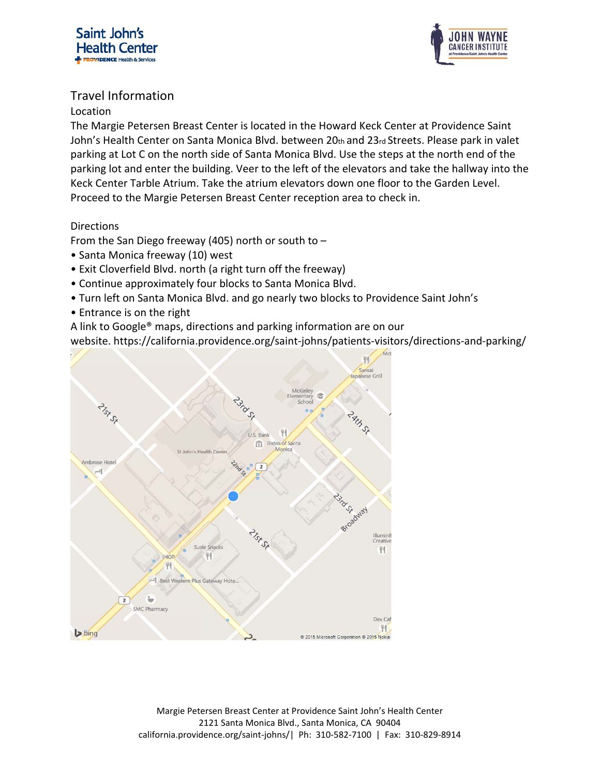



## Travel Information

## Location

The Margie Petersen Breast Center is located in the Howard Keck Center at Providence Saint John's Health Center on Santa Monica Blvd. between 20th and 23rd Streets. Please park in valet parking at Lot C on the north side of Santa Monica Blvd. Use the steps at the north end of the parking lot and enter the building. Veer to the left of the elevators and take the hallway into the Keck Center Tarble Atrium. Take the atrium elevators down one floor to the Garden Level. Proceed to the Margie Petersen Breast Center reception area to check in.

## Directions

From the San Diego freeway (405) north or south to  $-$ 

- Santa Monica freeway (10) west
- Exit Cloverfield Blvd. north (a right turn off the freeway)
- Continue approximately four blocks to Santa Monica Blvd.
- Turn left on Santa Monica Blvd. and go nearly two blocks to Providence Saint John's
- Entrance is on the right
- A link to Google® maps, directions and parking information are on our

website. https://california.providence.org/saint‐johns/patients‐visitors/directions‐and‐parking/

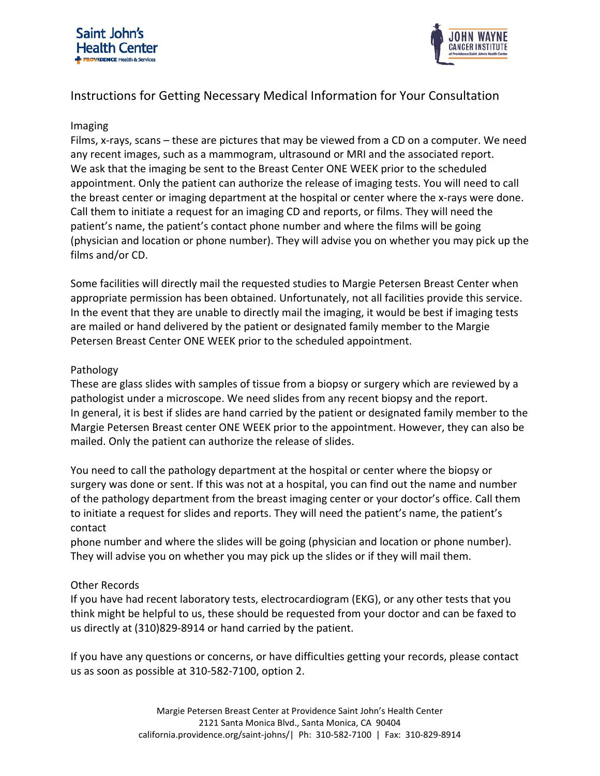



# Instructions for Getting Necessary Medical Information for Your Consultation

#### Imaging

Films, x-rays, scans – these are pictures that may be viewed from a CD on a computer. We need any recent images, such as a mammogram, ultrasound or MRI and the associated report. We ask that the imaging be sent to the Breast Center ONE WEEK prior to the scheduled appointment. Only the patient can authorize the release of imaging tests. You will need to call the breast center or imaging department at the hospital or center where the x-rays were done. Call them to initiate a request for an imaging CD and reports, or films. They will need the patient's name, the patient's contact phone number and where the films will be going (physician and location or phone number). They will advise you on whether you may pick up the films and/or CD.

Some facilities will directly mail the requested studies to Margie Petersen Breast Center when appropriate permission has been obtained. Unfortunately, not all facilities provide this service. In the event that they are unable to directly mail the imaging, it would be best if imaging tests are mailed or hand delivered by the patient or designated family member to the Margie Petersen Breast Center ONE WEEK prior to the scheduled appointment.

#### Pathology

These are glass slides with samples of tissue from a biopsy or surgery which are reviewed by a pathologist under a microscope. We need slides from any recent biopsy and the report. In general, it is best if slides are hand carried by the patient or designated family member to the Margie Petersen Breast center ONE WEEK prior to the appointment. However, they can also be mailed. Only the patient can authorize the release of slides.

You need to call the pathology department at the hospital or center where the biopsy or surgery was done or sent. If this was not at a hospital, you can find out the name and number of the pathology department from the breast imaging center or your doctor's office. Call them to initiate a request for slides and reports. They will need the patient's name, the patient's contact

phone number and where the slides will be going (physician and location or phone number). They will advise you on whether you may pick up the slides or if they will mail them.

#### Other Records

If you have had recent laboratory tests, electrocardiogram (EKG), or any other tests that you think might be helpful to us, these should be requested from your doctor and can be faxed to us directly at (310)829‐8914 or hand carried by the patient.

If you have any questions or concerns, or have difficulties getting your records, please contact us as soon as possible at 310‐582‐7100, option 2.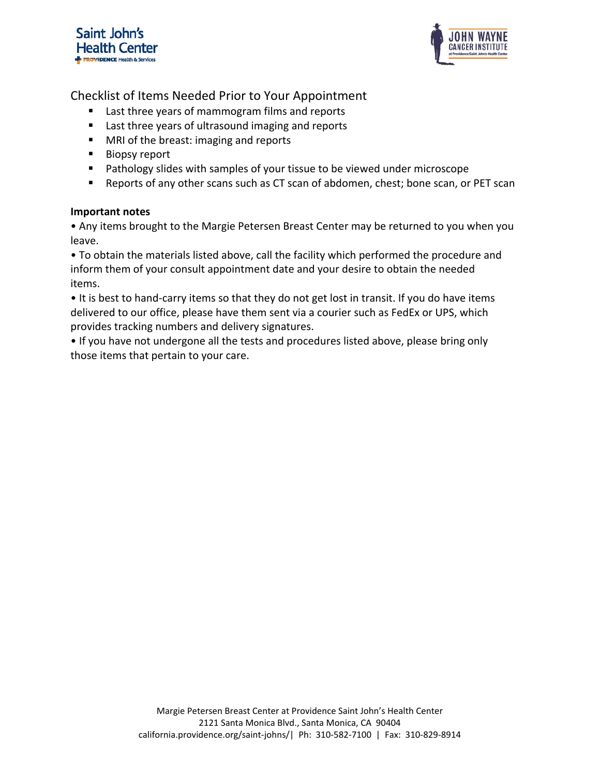



Checklist of Items Needed Prior to Your Appointment

- Last three years of mammogram films and reports
- Last three years of ultrasound imaging and reports
- **MRI of the breast: imaging and reports**
- **Biopsy report**
- **Pathology slides with samples of your tissue to be viewed under microscope**
- Reports of any other scans such as CT scan of abdomen, chest; bone scan, or PET scan

#### **Important notes**

• Any items brought to the Margie Petersen Breast Center may be returned to you when you leave.

• To obtain the materials listed above, call the facility which performed the procedure and inform them of your consult appointment date and your desire to obtain the needed items.

• It is best to hand‐carry items so that they do not get lost in transit. If you do have items delivered to our office, please have them sent via a courier such as FedEx or UPS, which provides tracking numbers and delivery signatures.

• If you have not undergone all the tests and procedures listed above, please bring only those items that pertain to your care.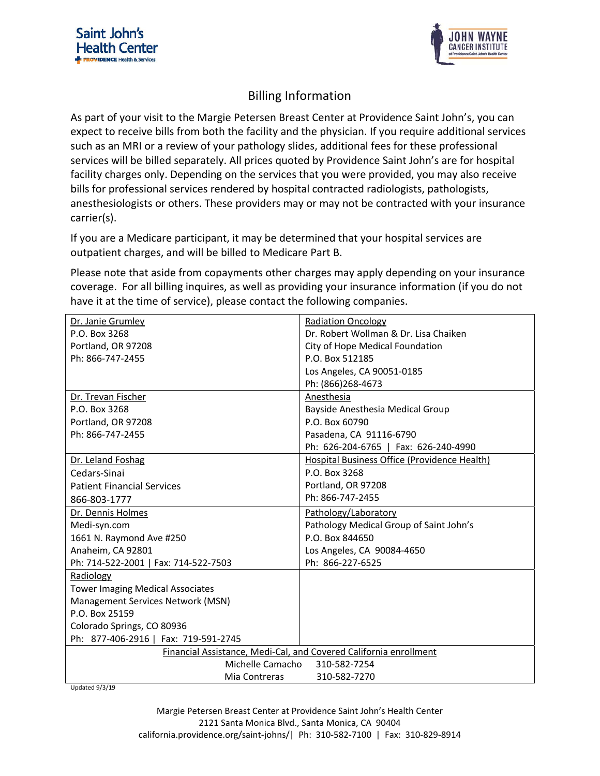



# Billing Information

As part of your visit to the Margie Petersen Breast Center at Providence Saint John's, you can expect to receive bills from both the facility and the physician. If you require additional services such as an MRI or a review of your pathology slides, additional fees for these professional services will be billed separately. All prices quoted by Providence Saint John's are for hospital facility charges only. Depending on the services that you were provided, you may also receive bills for professional services rendered by hospital contracted radiologists, pathologists, anesthesiologists or others. These providers may or may not be contracted with your insurance carrier(s).

If you are a Medicare participant, it may be determined that your hospital services are outpatient charges, and will be billed to Medicare Part B.

Please note that aside from copayments other charges may apply depending on your insurance coverage. For all billing inquires, as well as providing your insurance information (if you do not have it at the time of service), please contact the following companies.

| Dr. Janie Grumley                                                 | <b>Radiation Oncology</b>                    |
|-------------------------------------------------------------------|----------------------------------------------|
| P.O. Box 3268                                                     | Dr. Robert Wollman & Dr. Lisa Chaiken        |
| Portland, OR 97208                                                | City of Hope Medical Foundation              |
| Ph: 866-747-2455                                                  | P.O. Box 512185                              |
|                                                                   | Los Angeles, CA 90051-0185                   |
|                                                                   | Ph: (866)268-4673                            |
| Dr. Trevan Fischer                                                | Anesthesia                                   |
| P.O. Box 3268                                                     | Bayside Anesthesia Medical Group             |
| Portland, OR 97208                                                | P.O. Box 60790                               |
| Ph: 866-747-2455                                                  | Pasadena, CA 91116-6790                      |
|                                                                   | Ph: 626-204-6765   Fax: 626-240-4990         |
| Dr. Leland Foshag                                                 | Hospital Business Office (Providence Health) |
| Cedars-Sinai                                                      | P.O. Box 3268                                |
| <b>Patient Financial Services</b>                                 | Portland, OR 97208                           |
| 866-803-1777                                                      | Ph: 866-747-2455                             |
| Dr. Dennis Holmes                                                 | Pathology/Laboratory                         |
| Medi-syn.com                                                      | Pathology Medical Group of Saint John's      |
| 1661 N. Raymond Ave #250                                          | P.O. Box 844650                              |
| Anaheim, CA 92801                                                 | Los Angeles, CA 90084-4650                   |
| Ph: 714-522-2001   Fax: 714-522-7503                              | Ph: 866-227-6525                             |
| Radiology                                                         |                                              |
| <b>Tower Imaging Medical Associates</b>                           |                                              |
| Management Services Network (MSN)                                 |                                              |
| P.O. Box 25159                                                    |                                              |
| Colorado Springs, CO 80936                                        |                                              |
| Ph: 877-406-2916   Fax: 719-591-2745                              |                                              |
| Financial Assistance, Medi-Cal, and Covered California enrollment |                                              |
| Michelle Camacho<br>310-582-7254                                  |                                              |
| 310-582-7270<br>Mia Contreras                                     |                                              |

Updated 9/3/19